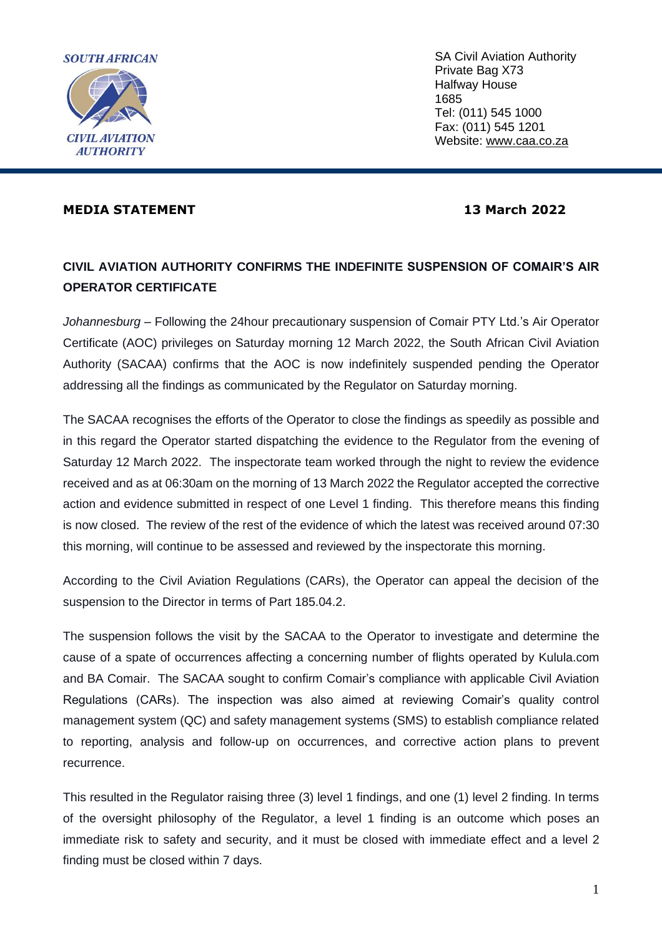

SA Civil Aviation Authority Private Bag X73 Halfway House 1685 Tel: (011) 545 1000 Fax: (011) 545 1201 Website: [www.caa.co.za](http://www.caa.co.za/)

# **MEDIA STATEMENT 13 March 2022**

# **CIVIL AVIATION AUTHORITY CONFIRMS THE INDEFINITE SUSPENSION OF COMAIR'S AIR OPERATOR CERTIFICATE**

*Johannesburg –* Following the 24hour precautionary suspension of Comair PTY Ltd.'s Air Operator Certificate (AOC) privileges on Saturday morning 12 March 2022, the South African Civil Aviation Authority (SACAA) confirms that the AOC is now indefinitely suspended pending the Operator addressing all the findings as communicated by the Regulator on Saturday morning.

The SACAA recognises the efforts of the Operator to close the findings as speedily as possible and in this regard the Operator started dispatching the evidence to the Regulator from the evening of Saturday 12 March 2022. The inspectorate team worked through the night to review the evidence received and as at 06:30am on the morning of 13 March 2022 the Regulator accepted the corrective action and evidence submitted in respect of one Level 1 finding. This therefore means this finding is now closed. The review of the rest of the evidence of which the latest was received around 07:30 this morning, will continue to be assessed and reviewed by the inspectorate this morning.

According to the Civil Aviation Regulations (CARs), the Operator can appeal the decision of the suspension to the Director in terms of Part 185.04.2.

The suspension follows the visit by the SACAA to the Operator to investigate and determine the cause of a spate of occurrences affecting a concerning number of flights operated by Kulula.com and BA Comair. The SACAA sought to confirm Comair's compliance with applicable Civil Aviation Regulations (CARs). The inspection was also aimed at reviewing Comair's quality control management system (QC) and safety management systems (SMS) to establish compliance related to reporting, analysis and follow-up on occurrences, and corrective action plans to prevent recurrence.

This resulted in the Regulator raising three (3) level 1 findings, and one (1) level 2 finding. In terms of the oversight philosophy of the Regulator, a level 1 finding is an outcome which poses an immediate risk to safety and security, and it must be closed with immediate effect and a level 2 finding must be closed within 7 days.